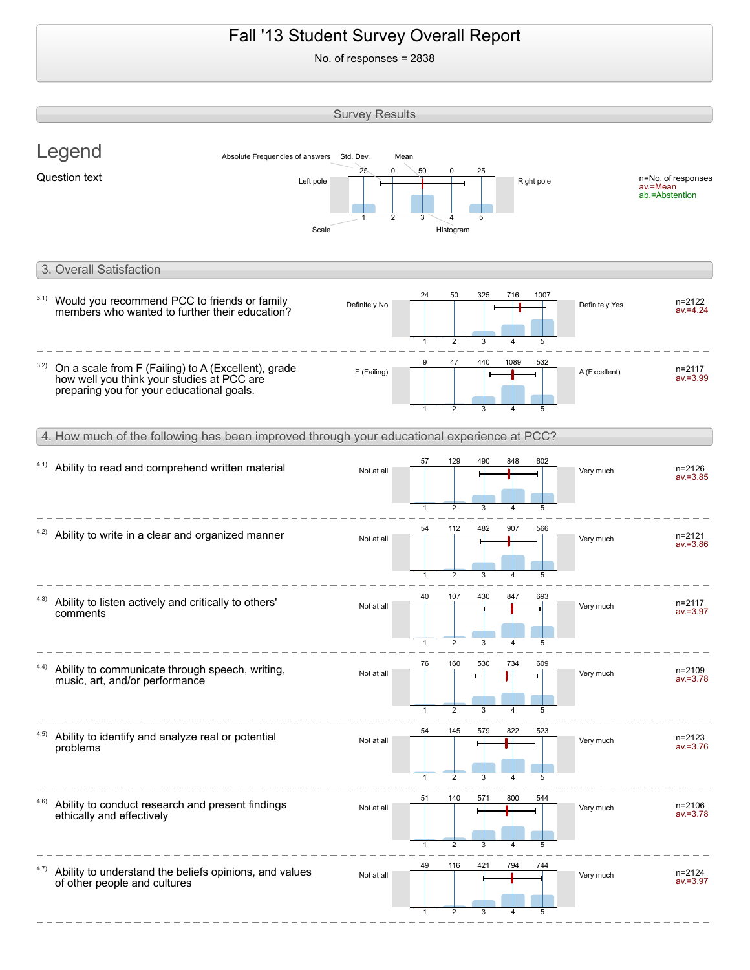## Fall '13 Student Survey Overall Report No. of responses = 2838 Survey Results Legend Question text and the state of the state of the state of the Right pole of responses av.=Mean ab.=Abstention Absolute Frequencies of answers Std. Dev. Mean



 $\mathfrak{p}$ 

Scale Histogram

#### 4. How much of the following has been improved through your educational experience at PCC? 60<sub>2</sub>

| 4.1) | Ability to read and comprehend written material                                        | Not at all | $\mathbf{1}$         | ت کا<br>$\overline{2}$ | 3        |     | ∪∪∠<br>5 | Very much | $n = 2126$<br>$av = 3.85$ |
|------|----------------------------------------------------------------------------------------|------------|----------------------|------------------------|----------|-----|----------|-----------|---------------------------|
|      | 4.2) Ability to write in a clear and organized manner                                  | Not at all | 54<br>$\mathbf{1}$   | 112<br>$\overline{2}$  | 482<br>3 | 907 | 566<br>5 | Very much | $n = 2121$<br>$av = 3.86$ |
| 4.3) | Ability to listen actively and critically to others'<br>comments                       | Not at all | 40                   | 107                    | 430      | 847 | 693      | Very much | $n = 2117$<br>$av = 3.97$ |
| 4.4) | Ability to communicate through speech, writing,<br>music, art, and/or performance      | Not at all | 76                   | $\overline{2}$<br>160  | з<br>530 | 734 | 609      | Very much | n=2109<br>av.=3.78        |
| 4.5) | Ability to identify and analyze real or potential<br>problems                          | Not at all | $\mathbf{1}$<br>54   | $\overline{2}$<br>145  | 3<br>579 | 822 | 5<br>523 | Very much | $n = 2123$<br>$av = 3.76$ |
| 4.6) | Ability to conduct research and present findings<br>ethically and effectively          | Not at all | $\overline{1}$<br>51 | 2<br>140               | 3<br>571 | 800 | 5<br>544 | Very much | n=2106<br>$av = 3.78$     |
| 4.7) | Ability to understand the beliefs opinions, and values<br>of other people and cultures | Not at all | $\overline{1}$<br>49 | $\overline{2}$<br>116  | 421      | 794 | 744      | Very much | $n = 2124$<br>$av = 3.97$ |
|      |                                                                                        |            |                      | $\mathfrak{p}$         |          |     |          |           |                           |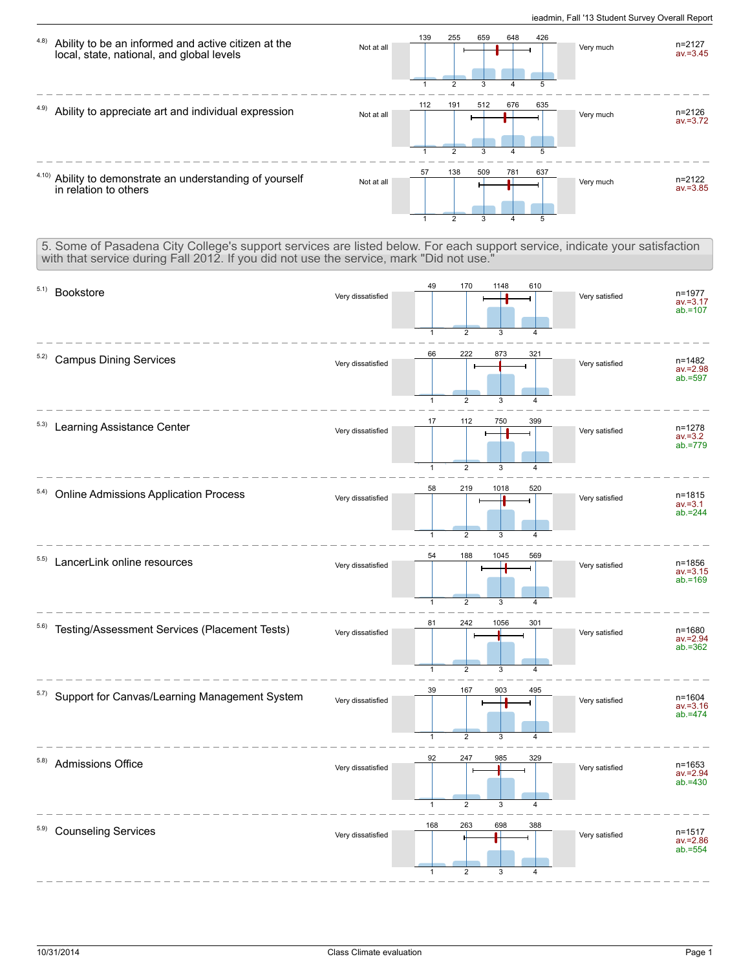

5. Some of Pasadena City College's support services are listed below. For each support service, indicate your satisfaction with that service during Fall 2012. If you did not use the service, mark "Did not use."

| 5.1)<br>Bookstore                                             | Very dissatisfied | 49<br>$\mathbf{1}$                  | 170<br>$\overline{2}$                   | 1148<br>3     | 610<br>$\overline{4}$ | Very satisfied | n=1977<br>$av = 3.17$<br>$ab = 107$     |
|---------------------------------------------------------------|-------------------|-------------------------------------|-----------------------------------------|---------------|-----------------------|----------------|-----------------------------------------|
| 5.2)<br><b>Campus Dining Services</b>                         | Very dissatisfied | 66                                  | 222                                     | 873           | 321<br>4              | Very satisfied | n=1482<br>av.=2.98<br>ab.=597           |
| 5.3)<br>Learning Assistance Center                            | Very dissatisfied | $\mathbf{1}$<br>17                  | $\overline{2}$<br>112                   | 3<br>750      | 399                   | Very satisfied | n=1278<br>$av = 3.2$<br>$ab = 779$      |
| 5.4) Online Admissions Application Process                    | Very dissatisfied | $\mathbf{1}$<br>58                  | $\overline{2}$<br>219                   | 3<br>1018     | 4<br>520              | Very satisfied | $n = 1815$<br>$av = 3.1$<br>$ab = 244$  |
| 5.5)<br>LancerLink online resources                           | Very dissatisfied | $\mathbf{1}$<br>54                  | $\overline{2}$<br>188                   | 3<br>1045     | 4<br>569              | Very satisfied | n=1856<br>$av = 3.15$<br>$ab = 169$     |
| 5.6) Testing/Assessment Services (Placement Tests)            | Very dissatisfied | $\mathbf{1}$<br>81                  | $\overline{2}$<br>242                   | 3<br>1056     | 4<br>301              | Very satisfied | n=1680<br>av.=2.94<br>$ab = 362$        |
| <sup>5.7)</sup> Support for Canvas/Learning Management System | Very dissatisfied | $\mathbf{1}$<br>39                  | $\overline{2}$<br>167                   | 3<br>903      | 4<br>495              | Very satisfied | $n = 1604$<br>$av = 3.16$<br>$ab = 474$ |
| 5.8)<br>Admissions Office                                     | Very dissatisfied | $\mathbf{1}$<br>92                  | $\overline{2}$<br>247                   | 3<br>985      | $\overline{4}$<br>329 | Very satisfied | $n = 1653$<br>$av = 2.94$<br>$ab = 430$ |
| 5.9)<br><b>Counseling Services</b>                            | Very dissatisfied | $\mathbf{1}$<br>168<br>$\mathbf{1}$ | $\overline{2}$<br>263<br>$\overline{2}$ | 3<br>698<br>3 | 4<br>388<br>4         | Very satisfied | $n = 1517$<br>$av = 2.86$<br>$ab = 554$ |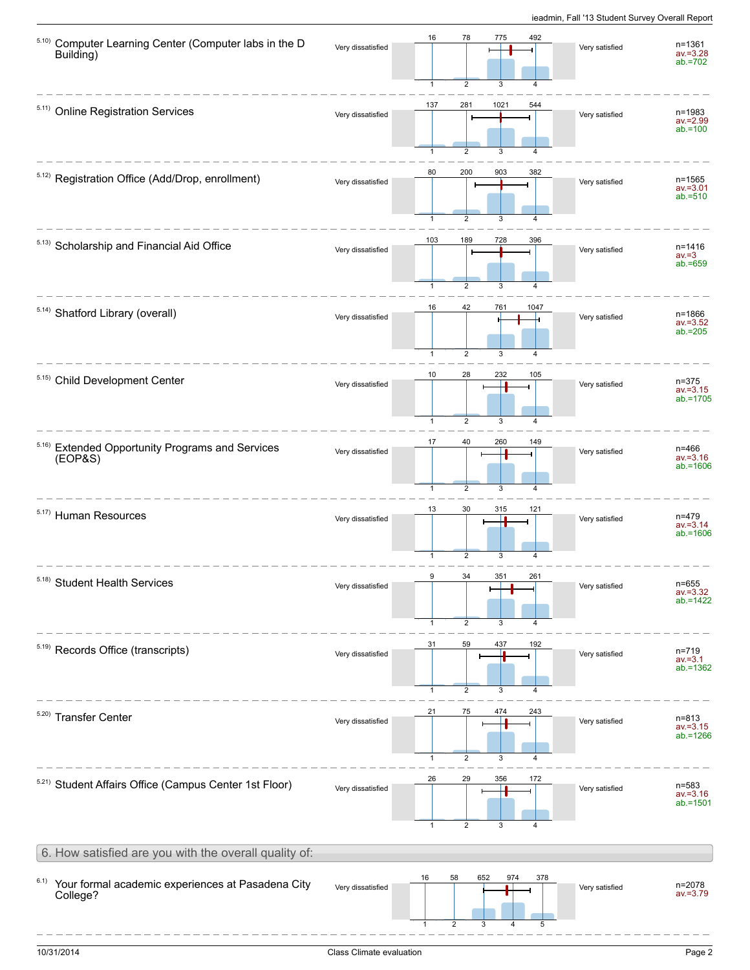| 5.10)<br>Computer Learning Center (Computer labs in the D<br>Building) | Very dissatisfied | 16<br>78<br>775<br>492<br>$\overline{2}$<br>3<br>1                                | Very satisfied | n=1361<br>av.=3.28<br>ab.=702           |
|------------------------------------------------------------------------|-------------------|-----------------------------------------------------------------------------------|----------------|-----------------------------------------|
| 5.11) Online Registration Services                                     | Very dissatisfied | 137<br>281<br>1021<br>544<br>2<br>3                                               | Very satisfied | n=1983<br>$av = 2.99$<br>$ab = 100$     |
| 5.12) Registration Office (Add/Drop, enrollment)                       | Very dissatisfied | 80<br>200<br>903<br>382<br>$\overline{2}$<br>3<br>$\mathbf{1}$<br>$\overline{4}$  | Very satisfied | n=1565<br>$av = 3.01$<br>$ab = 510$     |
| 5.13) Scholarship and Financial Aid Office                             | Very dissatisfied | 103<br>189<br>728<br>396<br>$\overline{2}$<br>3<br>$\mathbf{1}$<br>$\overline{4}$ | Very satisfied | n=1416<br>$av = 3$<br>$ab = 659$        |
| 5.14) Shatford Library (overall)                                       | Very dissatisfied | 16<br>42<br>761<br>1047<br>$\overline{2}$<br>3<br>1                               | Very satisfied | n=1866<br>$av = 3.52$<br>$ab = 205$     |
| 5.15) Child Development Center                                         | Very dissatisfied | 232<br>10<br>28<br>105<br>$\overline{2}$<br>3<br>$\overline{1}$<br>$\overline{4}$ | Very satisfied | $n = 375$<br>$av = 3.15$<br>$ab = 1705$ |
| 5.16)<br><b>Extended Opportunity Programs and Services</b><br>(EOPAS)  | Very dissatisfied | 17<br>40<br>260<br>149<br>$\overline{2}$<br>3<br>$\mathbf{1}$                     | Very satisfied | n=466<br>$av = 3.16$<br>$ab = 1606$     |
| 5.17) Human Resources                                                  | Very dissatisfied | 30<br>13<br>315<br>121<br>2<br>3                                                  | Very satisfied | n=479<br>$av = 3.14$<br>$ab = 1606$     |
| 5.18) Student Health Services                                          | Very dissatisfied | 9<br>34<br>351<br>261<br>2<br>3<br>$\mathbf{1}$                                   | Very satisfied | n=655<br>$av = 3.32$<br>$ab = 1422$     |
| 5.19) Records Office (transcripts)                                     | Very dissatisfied | 31<br>59<br>437<br>192<br>$\overline{2}$<br>$\mathbf{1}$<br>3<br>$\overline{4}$   | Very satisfied | n=719<br>$av = 3.1$<br>$ab = 1362$      |
| 5.20) Transfer Center                                                  | Very dissatisfied | 21<br>75<br>474<br>243<br>$\overline{2}$<br>3<br>1                                | Very satisfied | n=813<br>$av = 3.15$<br>$ab = 1266$     |
| 5.21) Student Affairs Office (Campus Center 1st Floor)                 | Very dissatisfied | 26<br>29<br>356<br>172<br>$\overline{2}$<br>$\overline{1}$<br>3<br>$\overline{4}$ | Very satisfied | n=583<br>$av = 3.16$<br>$ab = 1501$     |
| 6. How satisfied are you with the overall quality of:                  |                   |                                                                                   |                |                                         |
| 6.1)<br>Your formal academic experiences at Pasadena City<br>College?  | Very dissatisfied | 58<br>652<br>16<br>974<br>378<br>2<br>3<br>5<br>1<br>4                            | Very satisfied | n=2078<br>$av = 3.79$                   |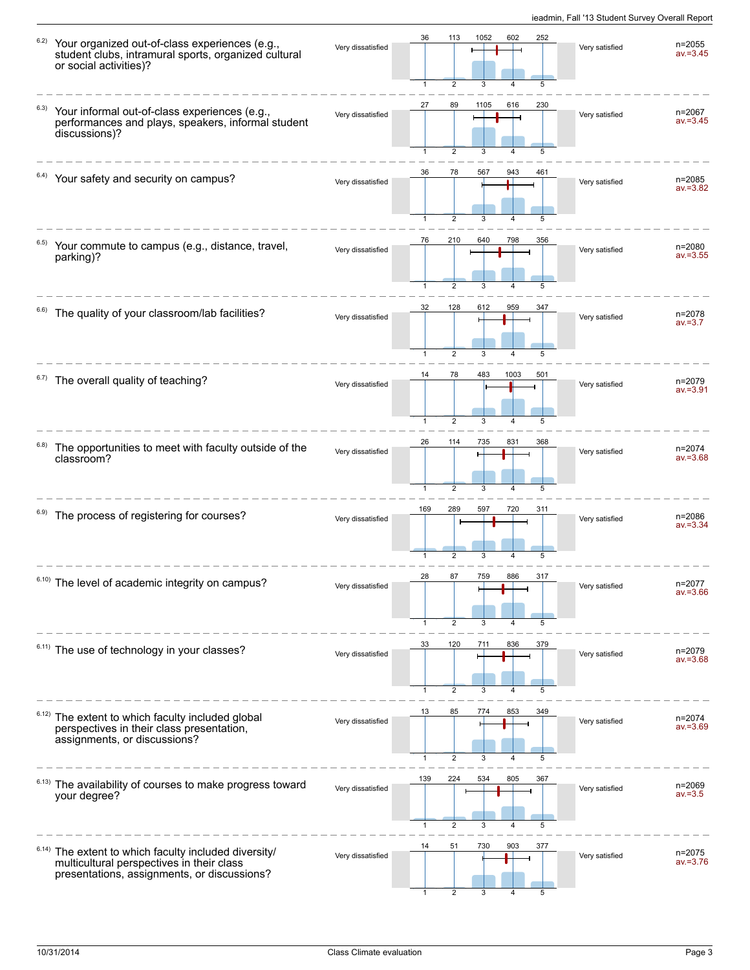| 6.2)  | Your organized out-of-class experiences (e.g.,<br>student clubs, intramural sports, organized cultural<br>or social activities)?            | Very dissatisfied | 36                  | 113<br>$\overline{2}$ | 1052      | 602      | 252<br>5 | Very satisfied | n=2055<br>$av = 3.45$     |
|-------|---------------------------------------------------------------------------------------------------------------------------------------------|-------------------|---------------------|-----------------------|-----------|----------|----------|----------------|---------------------------|
| 6.3)  | Your informal out-of-class experiences (e.g.,<br>performances and plays, speakers, informal student<br>discussions)?                        | Very dissatisfied | 27                  | 89<br>$\overline{2}$  | 1105<br>3 | 616<br>4 | 230<br>5 | Very satisfied | n=2067<br>$av = 3.45$     |
|       | Your safety and security on campus?                                                                                                         | Very dissatisfied | 36                  | 78<br>2               | 567       | 943      | 461      | Very satisfied | n=2085<br>$av = 3.82$     |
|       | Your commute to campus (e.g., distance, travel,<br>parking)?                                                                                | Very dissatisfied | 76                  | 210                   | 640       | 798      | 356      | Very satisfied | n=2080<br>$av = 3.55$     |
| 6.6)  | The quality of your classroom/lab facilities?                                                                                               | Very dissatisfied | 32                  | 128<br>$\overline{2}$ | 612       | 959      | 347<br>5 | Very satisfied | n=2078<br>$av = 3.7$      |
|       | <sup>6.7)</sup> The overall quality of teaching?                                                                                            | Very dissatisfied | 14                  | 78<br>$\overline{2}$  | 483       | 1003     | 501      | Very satisfied | n=2079<br>$av = 3.91$     |
| 6.8)  | The opportunities to meet with faculty outside of the<br>classroom?                                                                         | Very dissatisfied | 26                  | 114<br>$\overline{2}$ | 735<br>3  | 831      | 368<br>5 | Very satisfied | n=2074<br>$av = 3.68$     |
| 6.9)  | The process of registering for courses?                                                                                                     | Very dissatisfied | 169<br>$\mathbf{1}$ | 289<br>$\overline{2}$ | 597<br>3  | 720      | 311<br>5 | Very satisfied | n=2086<br>$av = 3.34$     |
|       | The level of academic integrity on campus?                                                                                                  | Very dissatisfied | 28<br>$\mathbf{1}$  | 87<br>$\overline{2}$  | 759       | 886      | 317      | Very satisfied | n=2077<br>$av = 3.66$     |
|       | 6.11) The use of technology in your classes?                                                                                                | Very dissatisfied | 33                  | 120<br>$\overline{2}$ | 711       | 836      | 379<br>5 | Very satisfied | n=2079<br>$av = 3.68$     |
| 6.12) | The extent to which faculty included global<br>perspectives in their class presentation,<br>assignments, or discussions?                    | Very dissatisfied | 13                  | 85<br>$\overline{2}$  | 774<br>3  | 853      | 349<br>5 | Very satisfied | $n = 2074$<br>$av = 3.69$ |
| 6.13) | The availability of courses to make progress toward<br>your degree?                                                                         | Very dissatisfied | 139                 | 224<br>2              | 534<br>З  | 805      | 367<br>5 | Very satisfied | n=2069<br>$av = 3.5$      |
| 6.14) | The extent to which faculty included diversity/<br>multicultural perspectives in their class<br>presentations, assignments, or discussions? | Very dissatisfied | 14                  | 51                    | 730       | 903      | 377<br>5 | Very satisfied | n=2075<br>$av = 3.76$     |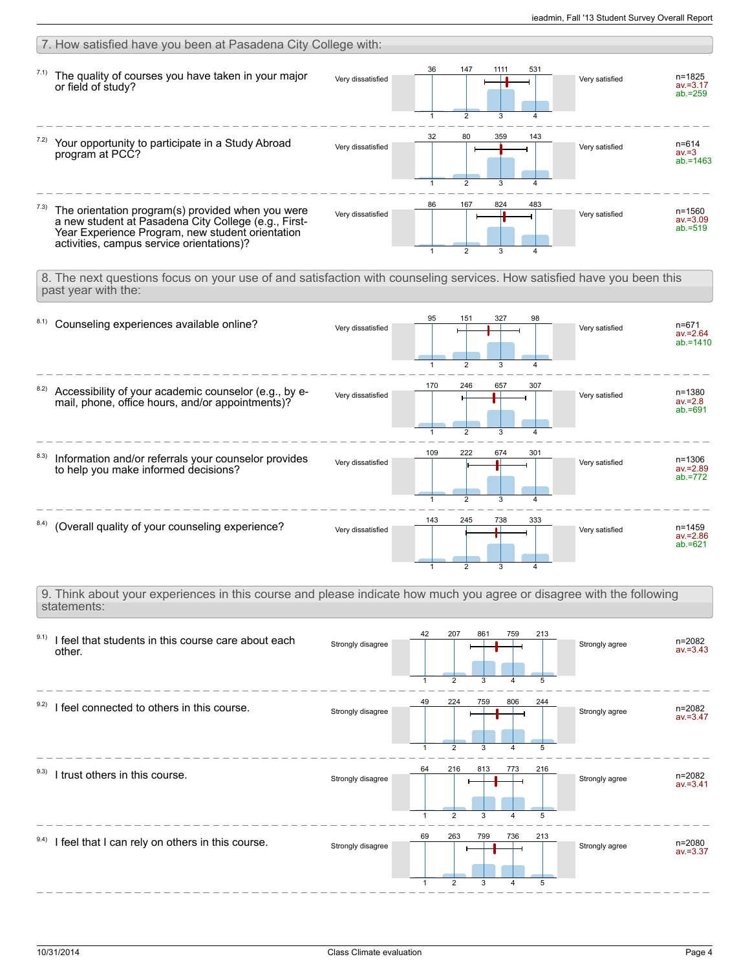| 7. How satisfied have you been at Pasadena City College with:                                                                                                                                                      |                   |                                                                                 |                                                           |
|--------------------------------------------------------------------------------------------------------------------------------------------------------------------------------------------------------------------|-------------------|---------------------------------------------------------------------------------|-----------------------------------------------------------|
| 7.1)<br>The quality of courses you have taken in your major<br>or field of study?                                                                                                                                  | Very dissatisfied | 36<br>147<br>1111<br>531<br>$\overline{2}$                                      | n=1825<br>Very satisfied<br>$av = 3.17$<br>$ab = 259$     |
| Your opportunity to participate in a Study Abroad<br>program at PCC?                                                                                                                                               | Very dissatisfied | 32<br>80<br>359<br>143<br>$\overline{2}$<br>3                                   | $n = 614$<br>Very satisfied<br>$av = 3$<br>$ab = 1463$    |
| 7.3)<br>The orientation program(s) provided when you were<br>a new student at Pasadena City College (e.g., First-<br>Year Experience Program, new student orientation<br>activities, campus service orientations)? | Very dissatisfied | 86<br>167<br>824<br>483                                                         | $n = 1560$<br>Very satisfied<br>$av = 3.09$<br>$ab = 519$ |
| 8. The next questions focus on your use of and satisfaction with counseling services. How satisfied have you been this<br>past year with the:                                                                      |                   |                                                                                 |                                                           |
| 8.1)<br>Counseling experiences available online?                                                                                                                                                                   | Very dissatisfied | 95<br>151<br>327<br>98                                                          | $n = 671$<br>Very satisfied<br>$av = 2.64$<br>$ab = 1410$ |
| 8.2)<br>Accessibility of your academic counselor (e.g., by e-<br>mail, phone, office hours, and/or appointments)?                                                                                                  | Very dissatisfied | 170<br>246<br>657<br>307                                                        | n=1380<br>Very satisfied<br>$av = 2.8$<br>$ab = 691$      |
| 8.3)<br>Information and/or referrals your counselor provides<br>to help you make informed decisions?                                                                                                               | Very dissatisfied | 109<br>222<br>674<br>301<br>3                                                   | $n = 1306$<br>Very satisfied<br>$av = 2.89$<br>$ab = 772$ |
| 8.4) (Overall quality of your counseling experience?                                                                                                                                                               | Very dissatisfied | 143<br>245<br>738<br>333<br>$\overline{2}$<br>3                                 | n=1459<br>Very satisfied<br>$av = 2.86$<br>$ab = 621$     |
| 9. Think about your experiences in this course and please indicate how much you agree or disagree with the following<br>statements:                                                                                |                   |                                                                                 |                                                           |
| 9.1)<br>I feel that students in this course care about each<br>other.                                                                                                                                              | Strongly disagree | 207<br>42<br>861<br>759<br>213<br>$\overline{2}$<br>5                           | n=2082<br>Strongly agree<br>$av = 3.43$                   |
| 9.2) I feel connected to others in this course.                                                                                                                                                                    | Strongly disagree | 224<br>49<br>759<br>806<br>244<br>2                                             | n=2082<br>Strongly agree<br>$av = 3.47$                   |
| 9.3)<br>I trust others in this course.                                                                                                                                                                             | Strongly disagree | 64<br>216<br>813<br>773<br>216<br>$\overline{2}$<br>5<br>3                      | n=2082<br>Strongly agree<br>$av = 3.41$                   |
| 9.4) I feel that I can rely on others in this course.                                                                                                                                                              | Strongly disagree | 69<br>263<br>799<br>736<br>213<br>$\overline{2}$<br>3<br>5<br>$\mathbf{1}$<br>4 | n=2080<br>Strongly agree<br>$av = 3.37$                   |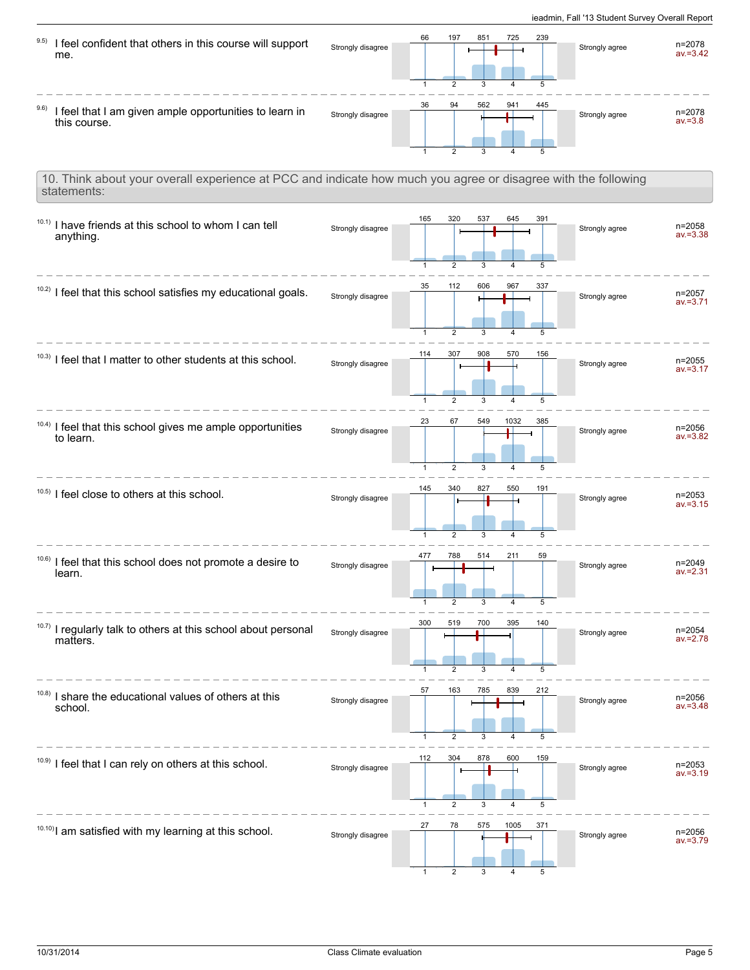| 9.5)<br>I feel confident that others in this course will support<br>me.                                                      | Strongly disagree | 197<br>66                                    | 851<br>725           | 239      | Strongly agree | $n = 2078$<br>$av = 3.42$ |
|------------------------------------------------------------------------------------------------------------------------------|-------------------|----------------------------------------------|----------------------|----------|----------------|---------------------------|
| I feel that I am given ample opportunities to learn in<br>this course.                                                       | Strongly disagree | 36<br>94                                     | 562<br>941           | 445<br>5 | Strongly agree | n=2078<br>$av = 3.8$      |
| 10. Think about your overall experience at PCC and indicate how much you agree or disagree with the following<br>statements: |                   |                                              |                      |          |                |                           |
| $10.1)$ I have friends at this school to whom I can tell<br>anything.                                                        | Strongly disagree | 165<br>320<br>$\overline{2}$<br>$\mathbf{1}$ | 537<br>645<br>3<br>4 | 391<br>5 | Strongly agree | n=2058<br>$av = 3.38$     |
| 10.2) I feel that this school satisfies my educational goals.                                                                | Strongly disagree | 112<br>35<br>$\mathbf{1}$<br>$\overline{2}$  | 606<br>967           | 337<br>5 | Strongly agree | n=2057<br>$av = 3.71$     |
| $10.3$ ) I feel that I matter to other students at this school.                                                              | Strongly disagree | 307<br>114                                   | 908<br>570           | 156<br>5 | Strongly agree | n=2055<br>$av = 3.17$     |
| 10.4) I feel that this school gives me ample opportunities<br>to learn.                                                      | Strongly disagree | 23<br>67<br>$\overline{2}$<br>$\mathbf{1}$   | 549<br>1032<br>3     | 385<br>5 | Strongly agree | n=2056<br>$av = 3.82$     |
| $10.5$ ) I feel close to others at this school.                                                                              | Strongly disagree | 340<br>145<br>2                              | 827<br>550           | 191<br>5 | Strongly agree | $n = 2053$<br>$av = 3.15$ |
| 10.6)<br>I feel that this school does not promote a desire to<br>learn.                                                      | Strongly disagree | 788<br>477                                   | 211<br>514           | 59<br>5  | Strongly agree | n=2049<br>$av = 2.31$     |
| 10.7) I regularly talk to others at this school about personal<br>matters.                                                   | Strongly disagree | 300<br>519<br>$\overline{2}$                 | 700<br>395<br>3      | 140<br>5 | Strongly agree | n=2054<br>$av = 2.78$     |
| 10.8)<br>I share the educational values of others at this<br>school.                                                         | Strongly disagree | 57<br>163<br>$\mathbf{1}$<br>2               | 785<br>839           | 212<br>5 | Strongly agree | n=2056<br>$av = 3.48$     |
| 10.9) I feel that I can rely on others at this school.                                                                       | Strongly disagree | 112<br>304                                   | 878<br>600           | 159<br>5 | Strongly agree | n=2053<br>$av = 3.19$     |
| 10.10) I am satisfied with my learning at this school.                                                                       | Strongly disagree | 27<br>78                                     | 575<br>1005          | 371<br>5 | Strongly agree | n=2056<br>$av = 3.79$     |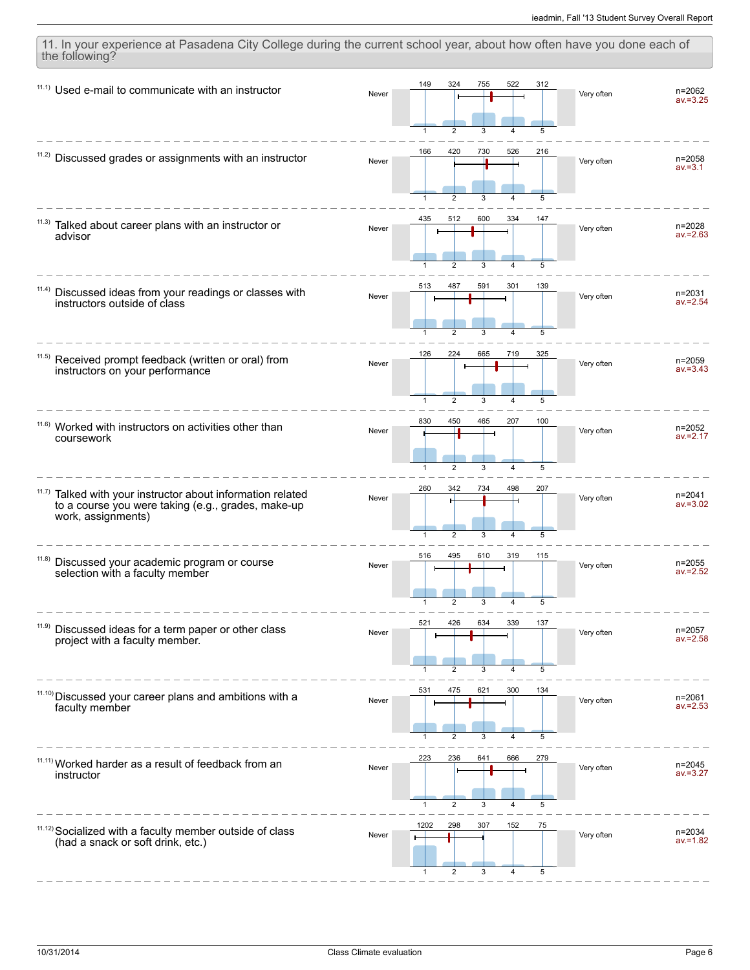$11.1)$  Used e-mail to communicate with an instructor Never n=2062 av.=3.25  $\mathfrak{D}$   $11.2)$  Discussed grades or assignments with an instructor Never n=2058  $av = 3.1$  Talked about career plans with an instructor or advisor 11.3) Never n=2028 av.=2.63 Discussed ideas from your readings or classes with instructors outside of class 11.4) Never n=2031  $av = 2.54$  Received prompt feedback (written or oral) from instructors on your performance 11.5) Never **The Little Little Street Contract Contract Contract Contract Contract Contract Contract Contract Contract** av.=3.43 <sup>11.6)</sup> Worked with instructors on activities other than coursework Never n=2052 av.=2.17  $\mathcal{D}$  Talked with your instructor about information related to a course you were taking (e.g., grades, make-up work, assignments) 11.7) Never n=2041 av.=3.02  $\mathfrak{D}$  <sup>11.8)</sup> Discussed your academic program or course selection with a faculty member Never n=2055  $av = 2.52$  <sup>11.9)</sup> Discussed ideas for a term paper or other class project with a faculty member. Never n=2057 av.=2.58  $11.10$ ) Discussed your career plans and ambitions with a faculty member Never n=2061  $av = 2.53$  <sup>11.11)</sup> Worked harder as a result of feedback from an instructor Never n=2045  $av = 3.27$   $\overline{2}$   $11.12$ ) Socialized with a faculty member outside of class (had a snack or soft drink, etc.) Never **New Albemannia** Very often **n=2034** av.=1.82 

11. In your experience at Pasadena City College during the current school year, about how often have you done each of

the following?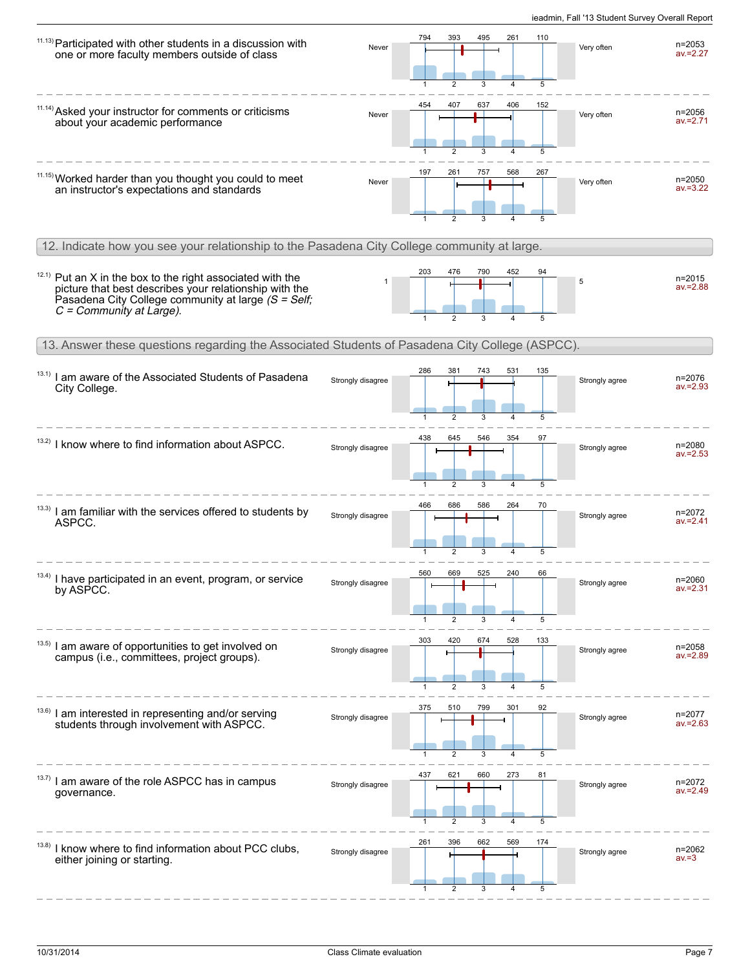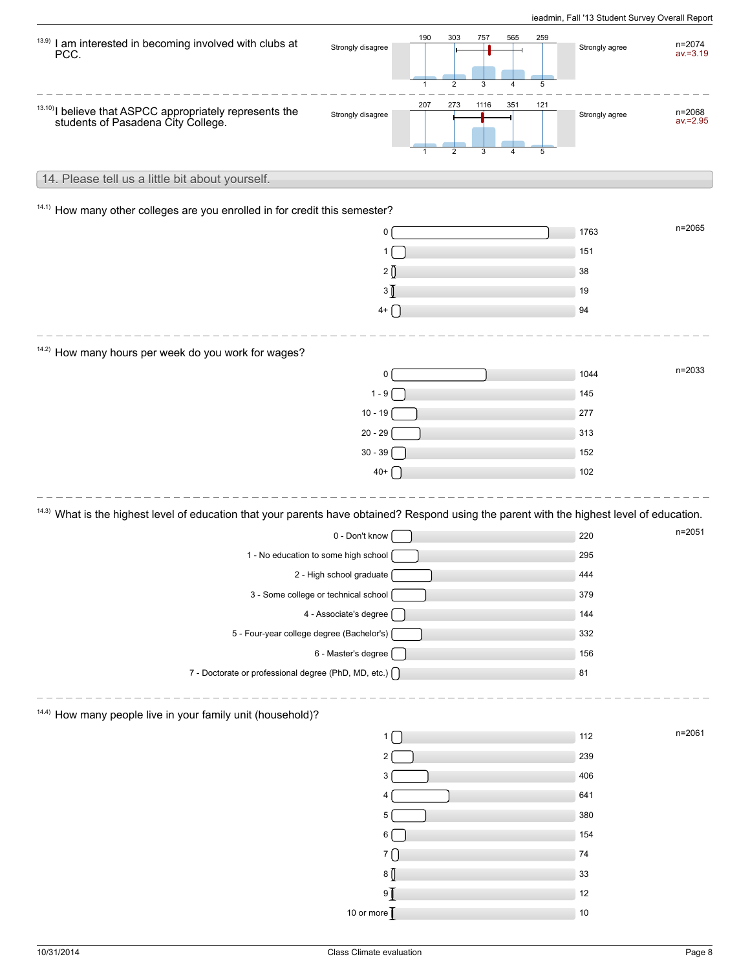| 13.9)<br>I am interested in becoming involved with clubs at<br>PCC.                                                                                    | Strongly disagree                       | 190<br>$\mathbf{1}$ | 303<br>$\overline{2}$ | 757       | 565<br>259<br>5      |      | Strongly agree | $n = 2074$<br>$av = 3.19$ |
|--------------------------------------------------------------------------------------------------------------------------------------------------------|-----------------------------------------|---------------------|-----------------------|-----------|----------------------|------|----------------|---------------------------|
| <sup>13.10</sup> ) I believe that ASPCC appropriately represents the students of Pasadena City College.                                                | Strongly disagree                       | 207<br>1            | 273<br>$\overline{2}$ | 1116<br>3 | 351<br>121<br>5<br>4 |      | Strongly agree | n=2068<br>$av = 2.95$     |
| 14. Please tell us a little bit about yourself.                                                                                                        |                                         |                     |                       |           |                      |      |                |                           |
| 14.1) How many other colleges are you enrolled in for credit this semester?                                                                            |                                         |                     |                       |           |                      |      |                |                           |
|                                                                                                                                                        | 0                                       |                     |                       |           |                      |      | 1763           | $n = 2065$                |
|                                                                                                                                                        | 1                                       |                     |                       |           |                      | 151  |                |                           |
|                                                                                                                                                        | 2()                                     |                     |                       |           |                      | 38   |                |                           |
|                                                                                                                                                        | 3 [                                     |                     |                       |           |                      | 19   |                |                           |
|                                                                                                                                                        | $4+$ $\bigcap$                          |                     |                       |           |                      | 94   |                |                           |
|                                                                                                                                                        |                                         |                     |                       |           |                      |      |                |                           |
| <sup>14.2)</sup> How many hours per week do you work for wages?                                                                                        |                                         |                     |                       |           |                      |      |                |                           |
|                                                                                                                                                        | 0                                       |                     |                       |           |                      |      | 1044           | $n = 2033$                |
|                                                                                                                                                        | $1 - 9$                                 |                     |                       |           |                      |      | 145            |                           |
|                                                                                                                                                        | $10 - 19$                               |                     |                       |           |                      | 277  |                |                           |
|                                                                                                                                                        | $20 - 29$                               |                     |                       |           |                      | 313  |                |                           |
|                                                                                                                                                        | $30 - 39$                               |                     |                       |           |                      |      | 152            |                           |
|                                                                                                                                                        | $40+$ $\begin{bmatrix} 1 \end{bmatrix}$ |                     |                       |           |                      |      | 102            |                           |
| <sup>14.3)</sup> What is the highest level of education that your parents have obtained? Respond using the parent with the highest level of education. |                                         |                     |                       |           |                      |      |                |                           |
|                                                                                                                                                        | 0 - Don't know                          |                     |                       |           |                      | 220  |                | $n = 2051$                |
|                                                                                                                                                        | 1 - No education to some high school    |                     |                       |           |                      |      | 295            |                           |
|                                                                                                                                                        | 2 - High school graduate                |                     |                       |           |                      | 444  |                |                           |
|                                                                                                                                                        | 3 - Some college or technical school    |                     |                       |           |                      | 379  |                |                           |
|                                                                                                                                                        | 4 - Associate's degree [                |                     |                       |           |                      |      | 144            |                           |
| 5 - Four-year college degree (Bachelor's)                                                                                                              |                                         |                     |                       |           |                      | 332  |                |                           |
|                                                                                                                                                        | 6 - Master's degree [                   |                     |                       |           |                      | 156  |                |                           |
| 7 - Doctorate or professional degree (PhD, MD, etc.) [                                                                                                 |                                         |                     |                       |           |                      | 81   |                |                           |
| <sup>14.4)</sup> How many people live in your family unit (household)?                                                                                 |                                         |                     |                       |           |                      |      |                |                           |
|                                                                                                                                                        | $1 \mid$                                |                     |                       |           |                      | 112  |                | n=2061                    |
|                                                                                                                                                        |                                         |                     |                       |           |                      | 239  |                |                           |
|                                                                                                                                                        | 3                                       |                     |                       |           |                      |      | 406            |                           |
|                                                                                                                                                        |                                         |                     |                       |           |                      | 641  |                |                           |
|                                                                                                                                                        | 5                                       |                     |                       |           |                      | 380  |                |                           |
|                                                                                                                                                        | 6                                       |                     |                       |           |                      |      | 154            |                           |
|                                                                                                                                                        | 7 <sup>C</sup>                          |                     |                       |           |                      | 74   |                |                           |
|                                                                                                                                                        | 8 <sub>0</sub>                          |                     |                       |           |                      | 33   |                |                           |
|                                                                                                                                                        | $9$ $\overline{1}$                      |                     |                       |           |                      | 12   |                |                           |
|                                                                                                                                                        | 10 or more                              |                     |                       |           |                      | $10$ |                |                           |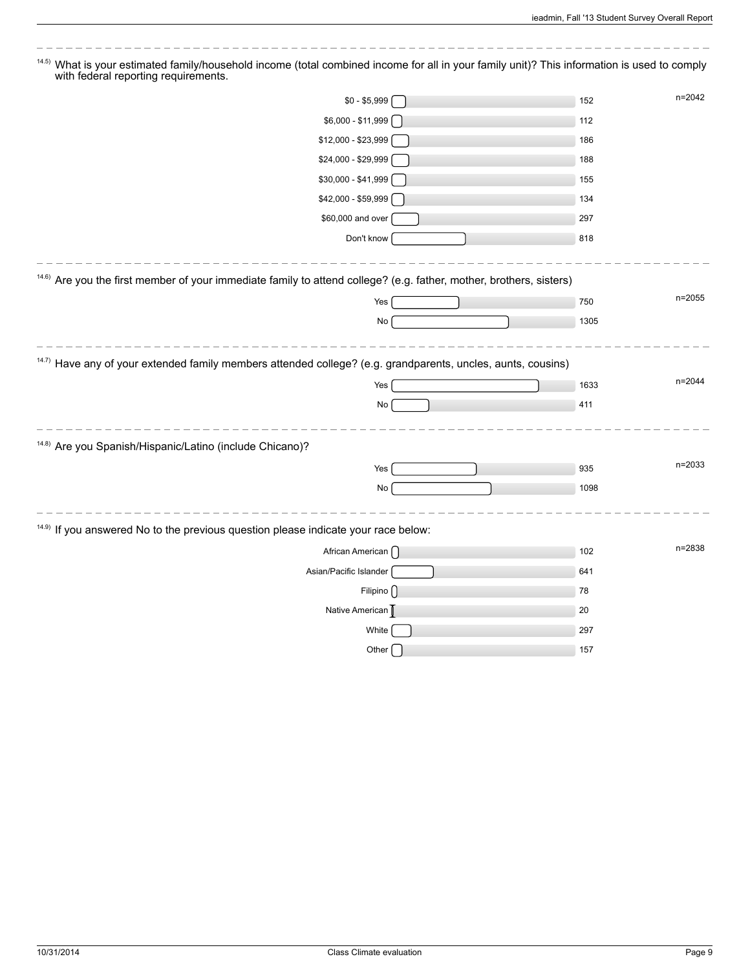$\overline{\phantom{a}}$ 

| What is your estimated family/household income (total combined income for all in your family unit)? This information is used to comply<br>14.5)<br>with federal reporting requirements. |                   |
|-----------------------------------------------------------------------------------------------------------------------------------------------------------------------------------------|-------------------|
| $$0 - $5,999$                                                                                                                                                                           | n=2042<br>152     |
| \$6,000 - \$11,999                                                                                                                                                                      | 112               |
| \$12,000 - \$23,999                                                                                                                                                                     | 186               |
| \$24,000 - \$29,999                                                                                                                                                                     | 188               |
| \$30,000 - \$41,999                                                                                                                                                                     | 155               |
| \$42,000 - \$59,999                                                                                                                                                                     | 134               |
| \$60,000 and over                                                                                                                                                                       | 297               |
| Don't know                                                                                                                                                                              | 818               |
| <sup>14.6)</sup> Are you the first member of your immediate family to attend college? (e.g. father, mother, brothers, sisters)                                                          |                   |
| Yes                                                                                                                                                                                     | $n = 2055$<br>750 |
| No                                                                                                                                                                                      | 1305              |
| <sup>14.7)</sup> Have any of your extended family members attended college? (e.g. grandparents, uncles, aunts, cousins)                                                                 |                   |
| Yes                                                                                                                                                                                     | n=2044<br>1633    |
| No                                                                                                                                                                                      | 411               |
| <sup>14.8)</sup> Are you Spanish/Hispanic/Latino (include Chicano)?                                                                                                                     |                   |
| Yes                                                                                                                                                                                     | n=2033<br>935     |
| No                                                                                                                                                                                      | 1098              |
| <sup>14.9)</sup> If you answered No to the previous question please indicate your race below:                                                                                           |                   |
| African American [                                                                                                                                                                      | n=2838<br>102     |
| Asian/Pacific Islander                                                                                                                                                                  | 641               |
| Filipino $\bigcap$                                                                                                                                                                      | 78                |
| Native American D                                                                                                                                                                       | 20                |
| White                                                                                                                                                                                   | 297               |
| Other                                                                                                                                                                                   | 157               |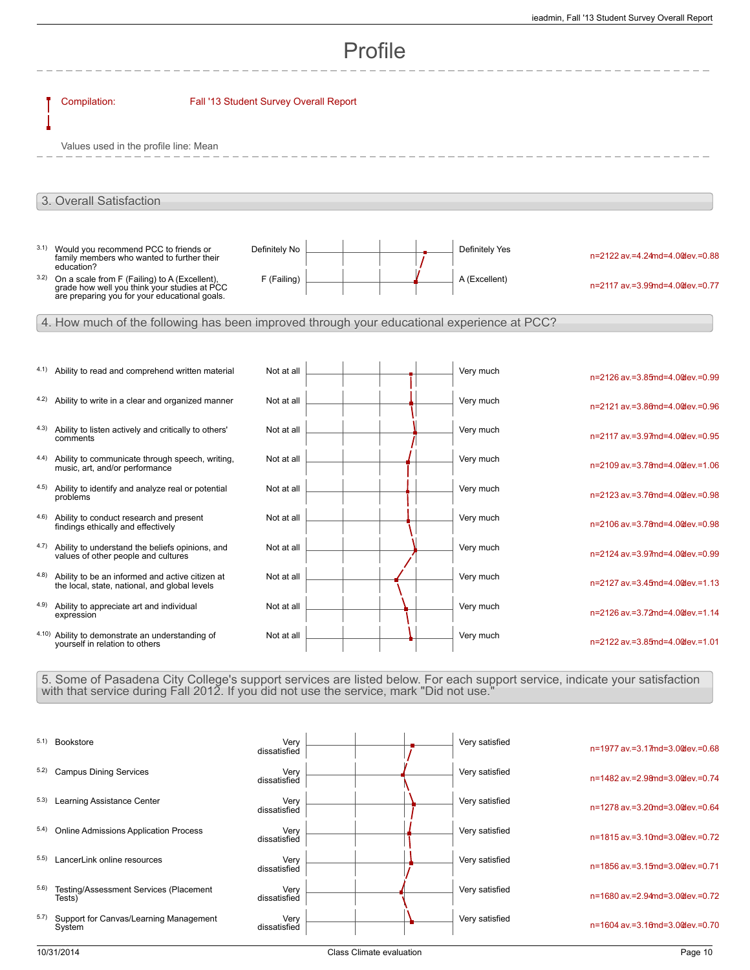# Profile

|      | Compilation:                                                                                                                                   | Fall '13 Student Survey Overall Report |  |                |                                 |
|------|------------------------------------------------------------------------------------------------------------------------------------------------|----------------------------------------|--|----------------|---------------------------------|
|      | Values used in the profile line: Mean                                                                                                          |                                        |  |                |                                 |
|      |                                                                                                                                                |                                        |  |                |                                 |
|      | 3. Overall Satisfaction                                                                                                                        |                                        |  |                |                                 |
|      |                                                                                                                                                |                                        |  |                |                                 |
| 3.1) | Would you recommend PCC to friends or<br>family members who wanted to further their<br>education?                                              | Definitely No                          |  | Definitely Yes | n=2122 av.=4.24md=4.0@ev.=0.88  |
| 3.2) | On a scale from F (Failing) to A (Excellent),<br>grade how well you think your studies at PCC<br>are preparing you for your educational goals. | F (Failing)                            |  | A (Excellent)  | n=2117 av.=3.99md=4.00dev.=0.77 |
|      | 4. How much of the following has been improved through your educational experience at PCC?                                                     |                                        |  |                |                                 |
|      |                                                                                                                                                |                                        |  |                |                                 |
| 4.1) | Ability to read and comprehend written material                                                                                                | Not at all                             |  | Very much      | n=2126 av.=3.85md=4.0@ev.=0.99  |
| 4.2) | Ability to write in a clear and organized manner                                                                                               | Not at all                             |  | Very much      | n=2121 av.=3.86md=4.0@lev.=0.96 |
| 4.3) | Ability to listen actively and critically to others'<br>comments                                                                               | Not at all                             |  | Very much      | n=2117 av.=3.97md=4.0@ev.=0.95  |
| 4.4) | Ability to communicate through speech, writing,<br>music, art, and/or performance                                                              | Not at all                             |  | Very much      | n=2109 av.=3.78md=4.00dev.=1.06 |
|      | 4.5) Ability to identify and analyze real or potential<br>problems                                                                             | Not at all                             |  | Very much      | n=2123 av.=3.76md=4.0@ev.=0.98  |
| 4.6) | Ability to conduct research and present<br>findings ethically and effectively                                                                  | Not at all                             |  | Very much      | n=2106 av.=3.78md=4.00dev.=0.98 |
| 4.7) | Ability to understand the beliefs opinions, and<br>values of other people and cultures                                                         | Not at all                             |  | Very much      | n=2124 av.=3.97md=4.0@ev.=0.99  |
| 4.8) | Ability to be an informed and active citizen at<br>the local, state, national, and global levels                                               | Not at all                             |  | Very much      | n=2127 av.=3.45md=4.0@ev.=1.13  |
| 4.9) | Ability to appreciate art and individual<br>expression                                                                                         | Not at all                             |  | Very much      | n=2126 av.=3.72md=4.00dev.=1.14 |
|      | 4.10) Ability to demonstrate an understanding of<br>yourself in relation to others                                                             | Not at all                             |  | Very much      | n=2122 av.=3.85md=4.0@ev.=1.01  |

5. Some of Pasadena City College's support services are listed below. For each support service, indicate your satisfaction with that service during Fall 2012. If you did not use the service, mark "Did not use."

| 5.1) | Bookstore                                        | Very<br>dissatisfied |  | Very satisfied | n=1977 av.=3.17md=3.00 ev.=0.68          |
|------|--------------------------------------------------|----------------------|--|----------------|------------------------------------------|
| 5.2) | <b>Campus Dining Services</b>                    | Verv<br>dissatisfied |  | Very satisfied | n=1482 av.=2.98 nd=3.00 dev.=0.74        |
| 5.3) | Learning Assistance Center                       | Very<br>dissatisfied |  | Very satisfied | $n = 1278$ av = 3.20md = 3.00 dev = 0.64 |
| 5.4) | <b>Online Admissions Application Process</b>     | Verv<br>dissatisfied |  | Very satisfied | $n=1815$ av = 3.10md= 3.00 dev = 0.72    |
| 5.5) | LancerLink online resources                      | Verv<br>dissatisfied |  | Very satisfied | n=1856 av.=3.15md=3.00 ev.=0.71          |
| 5.6) | Testing/Assessment Services (Placement<br>Tests) | Very<br>dissatisfied |  | Very satisfied | n=1680 av.=2.94md=3.00dev.=0.72          |
| 5.7) | Support for Canvas/Learning Management<br>System | Verv<br>dissatisfied |  | Very satisfied | $n = 1604$ av = 3.16md= 3.00 dev = 0.70  |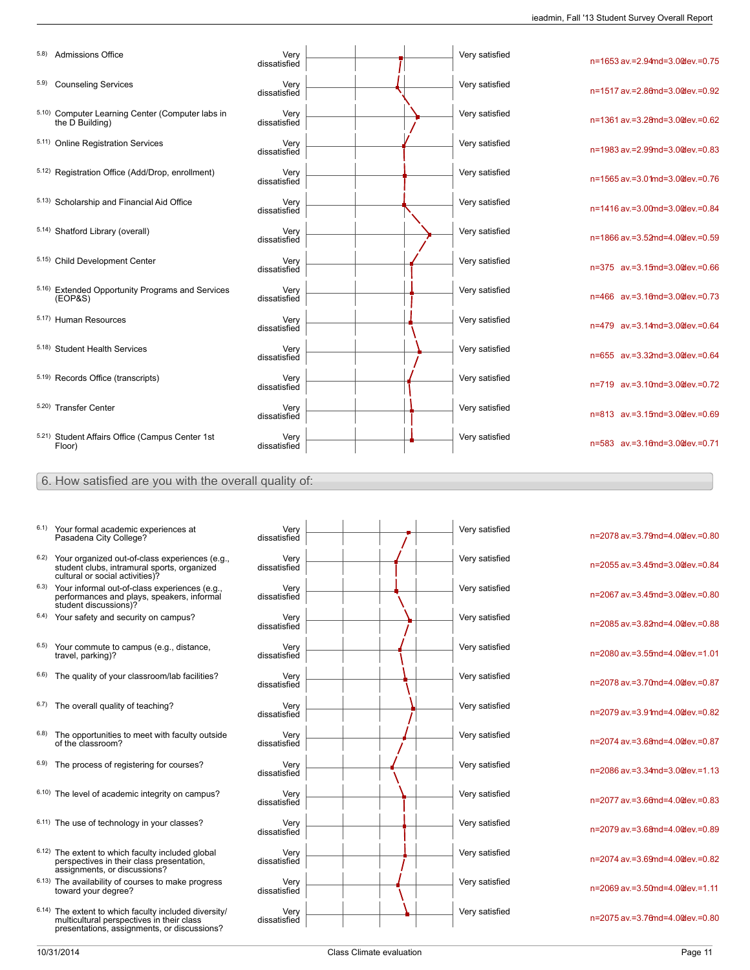n=1653 av.=2.94md=3.00dev.=0.75

n=1517 av.=2.86md=3.00dev.=0.92

n=1361 av.=3.28md=3.00dev.=0.62

n=1983 av.=2.99md=3.00dev.=0.83

n=1565 av.=3.01md=3.00dev.=0.76

n=1416 av.=3.00md=3.00dev.=0.84

n=1866 av.=3.52md=4.00dev.=0.59

n=375 av.=3.15md=3.00dev.=0.66

n=466 av.=3.16md=3.00dev.=0.73

n=479 av.=3.14md=3.00dev.=0.64

n=655 av.=3.32md=3.00dev.=0.64

n=719 av.=3.10md=3.00dev.=0.72

n=813 av.=3.15md=3.00dev.=0.69

n=583 av.=3.16md=3.00dev.=0.71

|      | 5.8) Admissions Office                                              | Very<br>dissatisfied |  | Very satisfied |
|------|---------------------------------------------------------------------|----------------------|--|----------------|
| 5.9) | <b>Counseling Services</b>                                          | Very<br>dissatisfied |  | Very satisfied |
|      | 5.10) Computer Learning Center (Computer labs in<br>the D Building) | Very<br>dissatisfied |  | Very satisfied |
|      | 5.11) Online Registration Services                                  | Very<br>dissatisfied |  | Very satisfied |
|      | 5.12) Registration Office (Add/Drop, enrollment)                    | Very<br>dissatisfied |  | Very satisfied |
|      | 5.13) Scholarship and Financial Aid Office                          | Very<br>dissatisfied |  | Very satisfied |
|      | 5.14) Shatford Library (overall)                                    | Very<br>dissatisfied |  | Very satisfied |
|      | 5.15) Child Development Center                                      | Very<br>dissatisfied |  | Very satisfied |
|      | 5.16) Extended Opportunity Programs and Services<br>(EOP & S)       | Very<br>dissatisfied |  | Very satisfied |
|      | 5.17) Human Resources                                               | Very<br>dissatisfied |  | Very satisfied |
|      | 5.18) Student Health Services                                       | Very<br>dissatisfied |  | Very satisfied |
|      | 5.19) Records Office (transcripts)                                  | Very<br>dissatisfied |  | Very satisfied |
|      | 5.20) Transfer Center                                               | Very<br>dissatisfied |  | Very satisfied |
|      | 5.21) Student Affairs Office (Campus Center 1st<br>Floor)           | Very<br>dissatisfied |  | Very satisfied |

6. How satisfied are you with the overall quality of:

- 6.1) Your formal academic experiences at Pasadena City College?
- 6.2) Your organized out-of-class experiences (e.g., student clubs, intramural sports, organized cultural or social activities)?
- 6.3) Your informal out-of-class experiences (e.g., performances and plays, speakers, informal student discussions)?
- $6.4$ ) Your safety and security on campus?
- <sup>6.5)</sup> Your commute to campus (e.g., distance, travel, parking)?
- $6.6$ ) The quality of your classroom/lab facilities?
- $6.7$ ) The overall quality of teaching?
- $6.8$ ) The opportunities to meet with faculty outside of the classroom?
- $6.9$ ) The process of registering for courses?
- $6.10$ ) The level of academic integrity on campus?
- $6.11)$  The use of technology in your classes?
- 6.12) The extent to which faculty included global perspectives in their class presentation, assignments, or discussions?
- 6.13) The availability of courses to make progress toward your degree?
- 6.14) The extent to which faculty included diversity/ multicultural perspectives in their class presentations, assignments, or discussions?

| Very<br>dissatisfied |  | Very satisfied |
|----------------------|--|----------------|
| Very<br>dissatisfied |  | Very satisfied |
| Very<br>dissatisfied |  | Very satisfied |
| Very<br>dissatisfied |  | Very satisfied |
| Very<br>dissatisfied |  | Very satisfied |
| Very<br>dissatisfied |  | Very satisfied |
| Very<br>dissatisfied |  | Very satisfied |
| Very<br>dissatisfied |  | Very satisfied |
| Very<br>dissatisfied |  | Very satisfied |
| Very<br>dissatisfied |  | Very satisfied |
| Very                 |  | Very satisfied |
| dissatisfied<br>Very |  | Very satisfied |
| dissatisfied<br>Very |  | Very satisfied |
| dissatisfied<br>Very |  | Very satisfied |
| dissatisfied         |  |                |

| n=2078 av.=3.79md=4.0@ev.=0.80  |
|---------------------------------|
| n=2055 av.=3.45md=3.0@lev.=0.84 |
| n=2067 av.=3.45md=3.0@ev.=0.80  |
| n=2085 av.=3.82md=4.0@ev.=0.88  |
| n=2080 av.=3.55md=4.0@ev.=1.01  |
| n=2078 av.=3.70md=4.0@lev.=0.87 |
| n=2079 av.=3.91md=4.0@ev.=0.82  |
| n=2074 av.=3.68md=4.0@ev.=0.87  |
| n=2086 av.=3.34md=3.0@ev.=1.13  |
| n=2077 av.=3.66md=4.0@lev.=0.83 |
| n=2079 av.=3.68md=4.0@ev.=0.89  |
| n=2074 av.=3.69md=4.0@ev.=0.82  |
| n=2069 av.=3.50md=4.0@ev.=1.11  |
| n=2075 av.=3.76md=4.0@ev.=0.80  |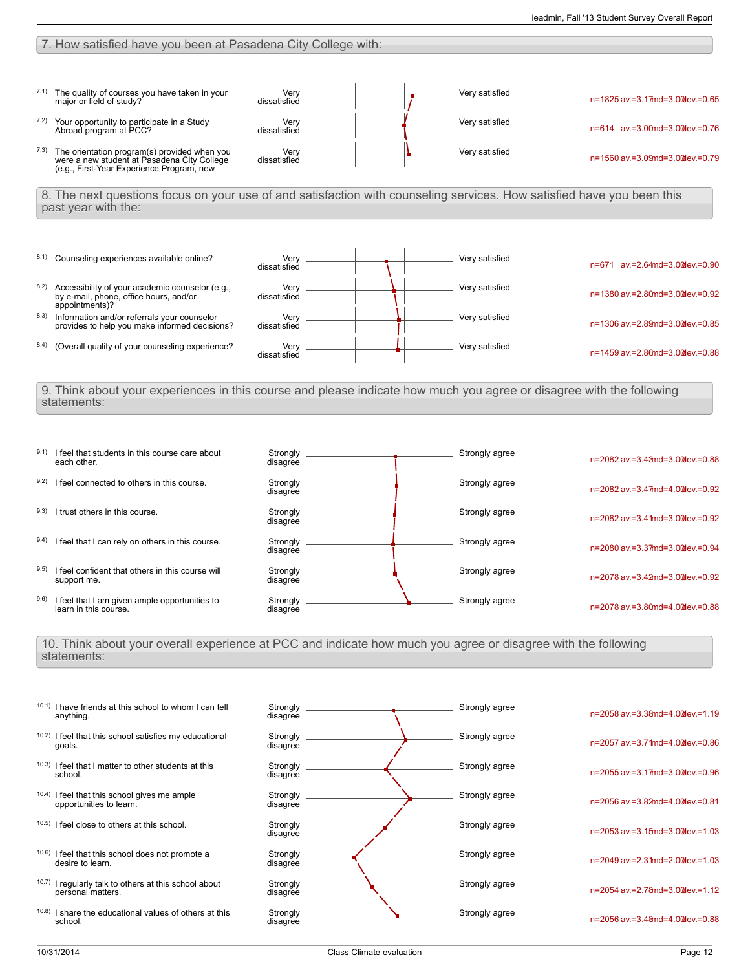### 7. How satisfied have you been at Pasadena City College with:





### 10. Think about your overall experience at PCC and indicate how much you agree or disagree with the following statements:

|       | 10.1) I have friends at this school to whom I can tell<br>anything.        | Strongly<br>disagree |  | Strongly agree | $n = 2058$ av = 3.38md= 4.00 dev = 1.19    |
|-------|----------------------------------------------------------------------------|----------------------|--|----------------|--------------------------------------------|
| 10.2) | I feel that this school satisfies my educational<br>goals.                 | Strongly<br>disagree |  | Strongly agree | n=2057 av.=3.71md=4.00dev.=0.86            |
|       | <sup>10.3)</sup> I feel that I matter to other students at this<br>school. | Strongly<br>disagree |  | Strongly agree | n=2055 av.=3.17md=3.00dev.=0.96            |
| 10.4) | I feel that this school gives me ample<br>opportunities to learn.          | Strongly<br>disagree |  | Strongly agree | n=2056 av.=3.82md=4.00dev.=0.81            |
| 10.5) | I feel close to others at this school.                                     | Strongly<br>disagree |  | Strongly agree | n=2053 av.=3.15md=3.00dev.=1.03            |
|       | 10.6) I feel that this school does not promote a<br>desire to learn.       | Strongly<br>disagree |  | Strongly agree | $n=2049$ av = 2.3 $1$ md = 2.0 @ ev = 1.03 |
| 10.7) | I regularly talk to others at this school about<br>personal matters.       | Strongly<br>disagree |  | Strongly agree | $n=2054$ av = 2.78md=3.00 dev = 1.12       |
| 10.8) | I share the educational values of others at this<br>school.                | Strongly<br>disagree |  | Strongly agree | n=2056 av.=3.48 md=4.00 dev.=0.88          |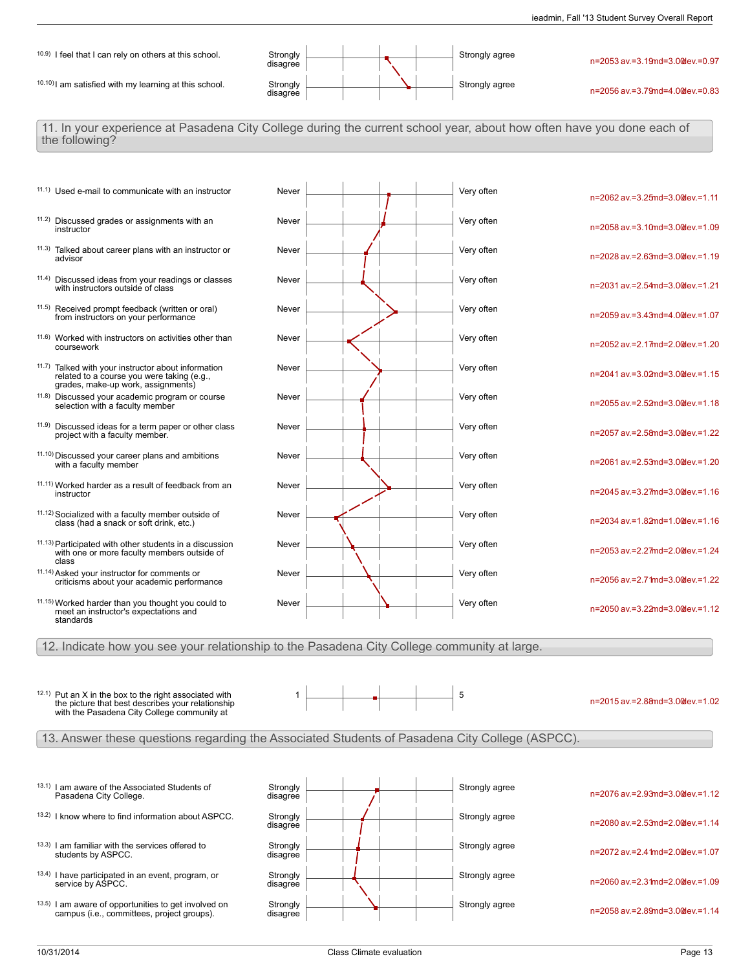

11. In your experience at Pasadena City College during the current school year, about how often have you done each of the following?

- 11.2) Discussed grades or assignments with an instructor
- 11.3) Talked about career plans with an instructor or advisor
- 11.4) Discussed ideas from your readings or classes with instructors outside of class
- 11.5) Received prompt feedback (written or oral) from instructors on your performance
- 11.6) Worked with instructors on activities other than coursework
- 11.7) Talked with your instructor about information related to a course you were taking (e.g., grades, make-up work, assignments)
- 11.8) Discussed your academic program or course selection with a faculty member
- 11.9) Discussed ideas for a term paper or other class project with a faculty member.
- 11.10) Discussed your career plans and ambitions with a faculty member
- 11.11) Worked harder as a result of feedback from an instructor
- 11.12) Socialized with a faculty member outside of class (had a snack or soft drink, etc.)
- 11.13) Participated with other students in a discussion with one or more faculty members outside of class
- 11.14) Asked your instructor for comments or criticisms about your academic performance
- 11.15) Worked harder than you thought you could to meet an instructor's expectations and standards
- 11.1) Used e-mail to communicate with an instructor Never Never Never **All Accord Containstance Contains an** Very often Never  $\begin{array}{|c|c|c|c|c|}\n\hline\n\textbf{V} & \textbf{V} & \textbf{V} & \textbf{V} & \textbf{V} & \textbf{V} & \textbf{V} & \textbf{V} & \textbf{V} & \textbf{V} & \textbf{V} & \textbf{V} & \textbf{V} & \textbf{V} & \textbf{V} & \textbf{V} & \textbf{V} & \textbf{V} & \textbf{V} & \textbf{V} & \textbf{V} & \textbf{V} & \textbf{V} & \textbf{V} & \textbf{V} & \textbf{V} & \textbf{V} & \textbf$ Never Very often Never <u>Newsell Andrew American Very often</u> Never  $\begin{array}{|c|c|c|c|c|}\n\hline\n\textbf{Never} & \textbf{S} & \textbf{V} & \textbf{V} & \textbf{V} \\
\hline\n\end{array}$ Never <u>Lateral Andrew Very often</u> Never <u>Later and the second of the Very often</u> Never <u>Later and Australian and Very often</u> Never Were **New Account Account Account Account Account Account Account Account Account Account Account Account** Never Very often Never Very often Never  $\begin{array}{|c|c|c|c|c|}\n\hline\n\text{Never} & \begin{array}{|c|c|c|}\n\hline\n\text{V} & \text{V} & \text{V} & \text{V} \\
\hline\n\text{V} & \text{V} & \text{V} & \text{V} \\
\hline\n\text{V} & \text{V} & \text{V} & \text{V} \\
\hline\n\text{V} & \text{V} & \text{V} & \text{V} \\
\hline\n\text{V} & \text{V} & \text{V} & \text{V} \\
\hline\n\text{V} & \text{V} & \text{V} & \text{V} \\
\hline$ Never Very often Never Very often Never  $\begin{array}{|c|c|c|c|c|}\n\hline\n\textbf{N} & \textbf{V} & \textbf{V} & \textbf{V} \\
\hline\n\textbf{N} & \textbf{V} & \textbf{V} & \textbf{V} \\
\hline\n\textbf{N} & \textbf{V} & \textbf{V} & \textbf{V} \\
\hline\n\textbf{N} & \textbf{V} & \textbf{V} & \textbf{V} \\
\hline\n\textbf{N} & \textbf{V} & \textbf{V} & \textbf{V} \\
\hline\n\textbf{N} & \textbf{V} & \textbf{V} & \textbf{V} \\
\hline\n$
- n=2062 av.=3.25md=3.00dev.=1.11 n=2058 av.=3.10md=3.00dev.=1.09 n=2028 av.=2.63md=3.00dev.=1.19 n=2031 av.=2.54md=3.00dev.=1.21 n=2059 av.=3.43md=4.00dev.=1.07 n=2052 av.=2.17md=2.00dev.=1.20 n=2041 av.=3.02md=3.00dev.=1.15 n=2055 av.=2.52md=3.00dev.=1.18 n=2057 av.=2.58md=3.00dev.=1.22 n=2061 av.=2.53md=3.00dev.=1.20 n=2045 av.=3.27md=3.00dev.=1.16 n=2034 av.=1.82md=1.00dev.=1.16 n=2053 av.=2.27md=2.00dev.=1.24 n=2056 av.=2.71md=3.00dev.=1.22 n=2050 av.=3.22md=3.00dev.=1.12

12. Indicate how you see your relationship to the Pasadena City College community at large.

| $12.1$ ) Put an X in the box to the right associated with<br>the picture that best describes your relationship<br>with the Pasadena City College community at |  |
|---------------------------------------------------------------------------------------------------------------------------------------------------------------|--|
|                                                                                                                                                               |  |

1 5

n=2015 av.=2.88md=3.00dev.=1.02

13. Answer these questions regarding the Associated Students of Pasadena City College (ASPCC).